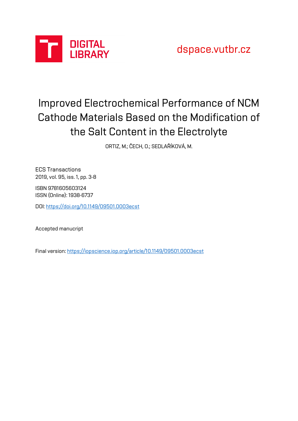

# Improved Electrochemical Performance of NCM Cathode Materials Based on the Modification of the Salt Content in the Electrolyte

ORTIZ, M.; ČECH, O.; SEDLAŘÍKOVÁ, M.

ECS Transactions 2019, vol. 95, iss. 1, pp. 3-8

ISBN 9781605603124 ISSN (Online): 1938-6737

DOI:<https://doi.org/10.1149/09501.0003ecst>

Accepted manucript

Final version:<https://iopscience.iop.org/article/10.1149/09501.0003ecst>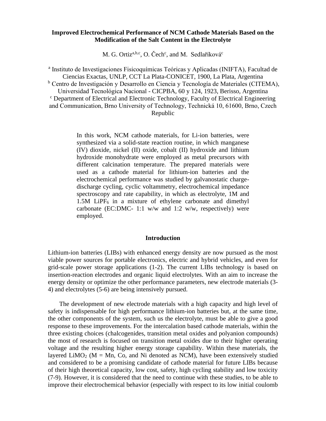## **Improved Electrochemical Performance of NCM Cathode Materials Based on the Modification of the Salt Content in the Electrolyte**

M. G. Ortiz<sup>a,b,c</sup>, O. Čech<sup>c</sup>, and M. Sedlaříková<sup>c</sup>

<sup>a</sup> Instituto de Investigaciones Fisicoquímicas Teóricas y Aplicadas (INIFTA), Facultad de Ciencias Exactas, UNLP, CCT La Plata-CONICET, 1900, La Plata, Argentina <sup>b</sup> Centro de Investigación y Desarrollo en Ciencia y Tecnología de Materiales (CITEMA), Universidad Tecnológica Nacional - CICPBA, 60 y 124, 1923, Berisso, Argentina <sup>c</sup> Department of Electrical and Electronic Technology, Faculty of Electrical Engineering and Communication, Brno University of Technology, Technická 10, 61600, Brno, Czech Republic

> In this work, NCM cathode materials, for Li-ion batteries, were synthesized via a solid-state reaction routine, in which manganese (IV) dioxide, nickel (II) oxide, cobalt (II) hydroxide and lithium hydroxide monohydrate were employed as metal precursors with different calcination temperature. The prepared materials were used as a cathode material for lithium-ion batteries and the electrochemical performance was studied by galvanostatic chargedischarge cycling, cyclic voltammetry, electrochemical impedance spectroscopy and rate capability, in which as electrolyte, 1M and  $1.5M$  LiPF<sub>6</sub> in a mixture of ethylene carbonate and dimethyl carbonate (EC:DMC- 1:1 w/w and 1:2 w/w, respectively) were employed.

## **Introduction**

Lithium-ion batteries (LIBs) with enhanced energy density are now pursued as the most viable power sources for portable electronics, electric and hybrid vehicles, and even for grid-scale power storage applications (1-2). The current LIBs technology is based on insertion-reaction electrodes and organic liquid electrolytes. With an aim to increase the energy density or optimize the other performance parameters, new electrode materials (3- 4) and electrolytes (5-6) are being intensively pursued.

The development of new electrode materials with a high capacity and high level of safety is indispensable for high performance lithium-ion batteries but, at the same time, the other components of the system, such us the electrolyte, must be able to give a good response to these improvements. For the intercalation based cathode materials, within the three existing choices (chalcogenides, transition metal oxides and polyanion compounds) the most of research is focused on transition metal oxides due to their higher operating voltage and the resulting higher energy storage capability. Within these materials, the layered  $LiMO<sub>2</sub>$  (M = Mn, Co, and Ni denoted as NCM), have been extensively studied and considered to be a promising candidate of cathode material for future LIBs because of their high theoretical capacity, low cost, safety, high cycling stability and low toxicity (7-9). However, it is considered that the need to continue with these studies, to be able to improve their electrochemical behavior (especially with respect to its low initial coulomb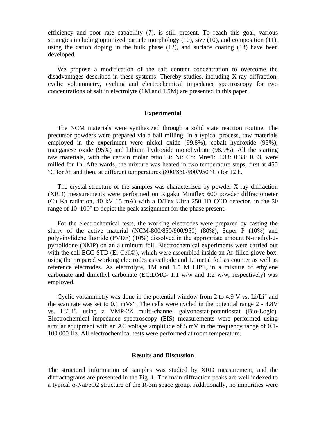efficiency and poor rate capability (7), is still present. To reach this goal, various strategies including optimized particle morphology (10), size (10), and composition (11), using the cation doping in the bulk phase (12), and surface coating (13) have been developed.

We propose a modification of the salt content concentration to overcome the disadvantages described in these systems. Thereby studies, including X-ray diffraction, cyclic voltammetry, cycling and electrochemical impedance spectroscopy for two concentrations of salt in electrolyte (1M and 1.5M) are presented in this paper.

## **Experimental**

The NCM materials were synthesized through a solid state reaction routine. The precursor powders were prepared via a ball milling. In a typical process, raw materials employed in the experiment were nickel oxide (99.8%), cobalt hydroxide (95%), manganese oxide (95%) and lithium hydroxide monohydrate (98.9%). All the starting raw materials, with the certain molar ratio Li: Ni: Co: Mn=1: 0.33: 0.33: 0.33, were milled for 1h. Afterwards, the mixture was heated in two temperature steps, first at 450 °C for 5h and then, at different temperatures  $(800/850/900/950 \degree C)$  for 12 h.

The crystal structure of the samples was characterized by powder X-ray diffraction (XRD) measurements were performed on Rigaku Miniflex 600 powder diffractometer (Cu Ka radiation, 40 kV 15 mA) with a D/Tex Ultra 250 1D CCD detector, in the 2θ range of 10–100° to depict the peak assignment for the phase present.

For the electrochemical tests, the working electrodes were prepared by casting the slurry of the active material (NCM-800/850/900/950) (80%), Super P (10%) and polyvinylidene fluoride (PVDF) (10%) dissolved in the appropriate amount N-methyl-2 pyrrolidone (NMP) on an aluminum foil. Electrochemical experiments were carried out with the cell ECC-STD (El-Cell©), which were assembled inside an Ar-filled glove box, using the prepared working electrodes as cathode and Li metal foil as counter as well as reference electrodes. As electrolyte, 1M and 1.5 M LiPF<sub>6</sub> in a mixture of ethylene carbonate and dimethyl carbonate (EC:DMC- 1:1 w/w and 1:2 w/w, respectively) was employed.

Cyclic voltammetry was done in the potential window from 2 to 4.9 V vs.  $Li/Li^{+}$  and the scan rate was set to  $0.1 \text{ mVs}^{-1}$ . The cells were cycled in the potential range  $2 - 4.8V$ vs. Li/Li<sup>+</sup>, using a VMP-2Z multi-channel galvonostat-potentiostat (Bio-Logic). Electrochemical impedance spectroscopy (EIS) measurements were performed using similar equipment with an AC voltage amplitude of  $5 \text{ mV}$  in the frequency range of 0.1-100.000 Hz. All electrochemical tests were performed at room temperature.

## **Results and Discussion**

The structural information of samples was studied by XRD measurement, and the diffractograms are presented in the Fig. 1. The main diffraction peaks are well indexed to a typical  $\alpha$ -NaFeO2 structure of the R-3m space group. Additionally, no impurities were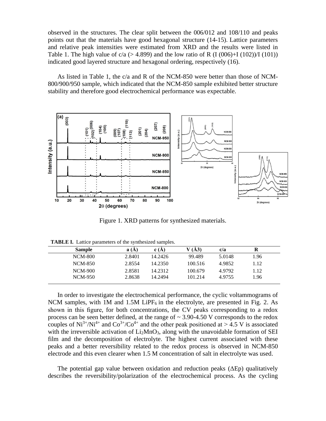observed in the structures. The clear split between the 006/012 and 108/110 and peaks points out that the materials have good hexagonal structure (14-15). Lattice parameters and relative peak intensities were estimated from XRD and the results were listed in Table 1. The high value of  $c/a$  ( $> 4.899$ ) and the low ratio of R (I (006)+I (102))/I (101)) indicated good layered structure and hexagonal ordering, respectively (16).

As listed in Table 1, the c/a and R of the NCM-850 were better than those of NCM-800/900/950 sample, which indicated that the NCM-850 sample exhibited better structure stability and therefore good electrochemical performance was expectable.



Figure 1. XRD patterns for synthesized materials.

|  |  | <b>TABLE I.</b> Lattice parameters of the synthesized samples. |  |
|--|--|----------------------------------------------------------------|--|
|--|--|----------------------------------------------------------------|--|

| <b>Sample</b> | a (A   | $\mathcal{C}(\mathbf{A})$ | (A3)    | c/a    | R    |
|---------------|--------|---------------------------|---------|--------|------|
| NCM-800       | 2.8401 | 14.2426                   | 99.489  | 5.0148 | l.96 |
| NCM-850       | 2.8554 | 14.2350                   | 100.516 | 4.9852 | 1.12 |
| NCM-900       | 2.8581 | 14.2312                   | 100.679 | 4.9792 | 1.12 |
| NCM-950       | 2.8638 | 14.2494                   | 101.214 | 4.9755 | l.96 |
|               |        |                           |         |        |      |

In order to investigate the electrochemical performance, the cyclic voltammograms of NCM samples, with 1M and  $1.5M$  LiPF<sub>6</sub> in the electrolyte, are presented in Fig. 2. As shown in this figure, for both concentrations, the CV peaks corresponding to a redox process can be seen better defined, at the range of  $\sim$  3.90-4.50 V corresponds to the redox couples of  $Ni^{3+}/Ni^{4+}$  and  $Co^{3+}/Co^{4+}$  and the other peak positioned at > 4.5 V is associated with the irreversible activation of Li<sub>2</sub>MnO<sub>3</sub>, along with the unavoidable formation of SEI film and the decomposition of electrolyte. The highest current associated with these peaks and a better reversibility related to the redox process is observed in NCM-850 electrode and this even clearer when 1.5 M concentration of salt in electrolyte was used.

The potential gap value between oxidation and reduction peaks  $(\Delta Ep)$  qualitatively describes the reversibility/polarization of the electrochemical process. As the cycling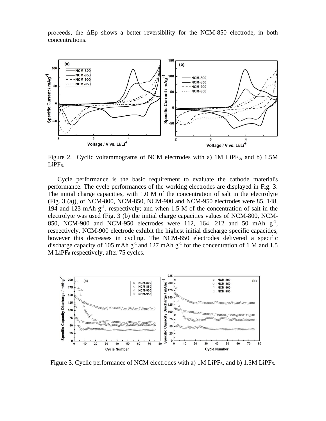proceeds, the ΔEp shows a better reversibility for the NCM-850 electrode, in both concentrations.



Figure 2. Cyclic voltammograms of NCM electrodes with a)  $1M$  LiPF<sub>6</sub>, and b)  $1.5M$  $LiPF<sub>6</sub>$ .

Cycle performance is the basic requirement to evaluate the cathode material's performance. The cycle performances of the working electrodes are displayed in Fig. 3. The initial charge capacities, with 1.0 M of the concentration of salt in the electrolyte (Fig. 3 (a)), of NCM-800, NCM-850, NCM-900 and NCM-950 electrodes were 85, 148, 194 and 123 mAh g<sup>-1</sup>, respectively; and when 1.5 M of the concentration of salt in the electrolyte was used (Fig. 3 (b) the initial charge capacities values of NCM-800, NCM-850, NCM-900 and NCM-950 electrodes were 112, 164, 212 and 50 mAh  $g^{-1}$ , respectively. NCM-900 electrode exhibit the highest initial discharge specific capacities, however this decreases in cycling. The NCM-850 electrodes delivered a specific discharge capacity of 105 mAh  $g^{-1}$  and 127 mAh  $g^{-1}$  for the concentration of 1 M and 1.5  $M$  LiPF<sub>6</sub> respectively, after 75 cycles.



Figure 3. Cyclic performance of NCM electrodes with a)  $1M$  LiPF<sub>6</sub>, and b)  $1.5M$  LiPF<sub>6</sub>.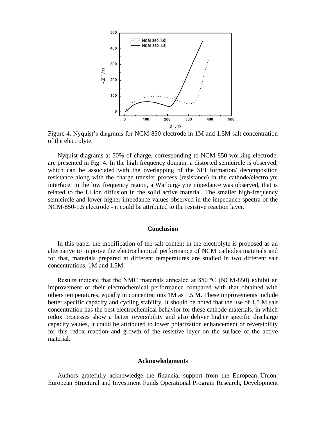

Figure 4. Nyquist's diagrams for NCM-850 electrode in 1M and 1.5M salt concentration of the electrolyte.

Nyquist diagrams at 50% of charge, corresponding to NCM-850 working electrode, are presented in Fig. 4. In the high frequency domain, a distorted semicircle is observed, which can be associated with the overlapping of the SEI formation/ decomposition resistance along with the charge transfer process (resistance) in the cathode/electrolyte interface. In the low frequency region, a Warburg-type impedance was observed, that is related to the Li ion diffusion in the solid active material. The smaller high-frequency semicircle and lower higher impedance values observed in the impedance spectra of the NCM-850-1.5 electrode - it could be attributed to the resistive reaction layer.

#### **Conclusion**

In this paper the modification of the salt content in the electrolyte is proposed as an alternative to improve the electrochemical performance of NCM cathodes materials and for that, materials prepared at different temperatures are studied in two different salt concentrations, 1M and 1.5M.

Results indicate that the NMC materials annealed at 850 ºC (NCM-850) exhibit an improvement of their electrochemical performance compared with that obtained with others temperatures, equally in concentrations 1M as 1.5 M. These improvements include better specific capacity and cycling stability. It should be noted that the use of 1.5 M salt concentration has the best electrochemical behavior for these cathode materials, in which redox processes show a better reversibility and also deliver higher specific discharge capacity values, it could be attributed to lower polarization enhancement of reversibility for this redox reaction and growth of the resistive layer on the surface of the active material.

## **Acknowledgments**

Authors gratefully acknowledge the financial support from the European Union, European Structural and Investment Funds Operational Program Research, Development